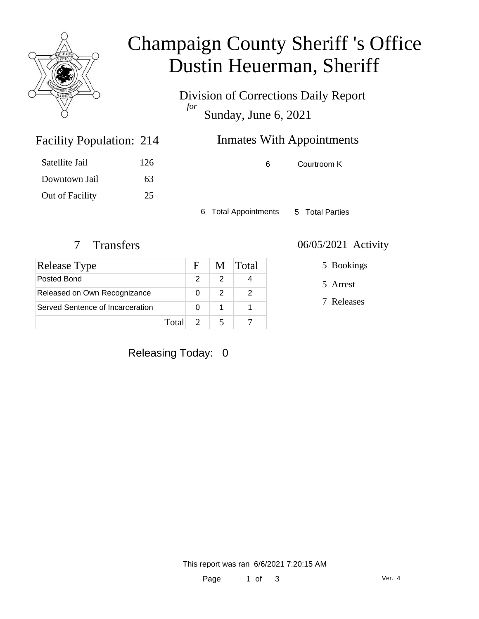

# Champaign County Sheriff 's Office Dustin Heuerman, Sheriff

Division of Corrections Daily Report *for* Sunday, June 6, 2021

| <b>Facility Population: 214</b> |     | <b>Inmates With Appointments</b> |             |
|---------------------------------|-----|----------------------------------|-------------|
| Satellite Jail                  | 126 | 6.                               | Courtroom K |
| Downtown Jail                   | 63  |                                  |             |

6 Total Appointments 5 Total Parties

Out of Facility 25

| Release Type                     |       | $\mathbf{F}$  | M | <b>Total</b> |
|----------------------------------|-------|---------------|---|--------------|
| Posted Bond                      |       |               | 2 |              |
| Released on Own Recognizance     |       |               | 2 |              |
| Served Sentence of Incarceration |       |               |   |              |
|                                  | Total | $\mathcal{D}$ |   |              |

#### 7 Transfers 06/05/2021 Activity

5 Bookings

5 Arrest

7 Releases

#### Releasing Today: 0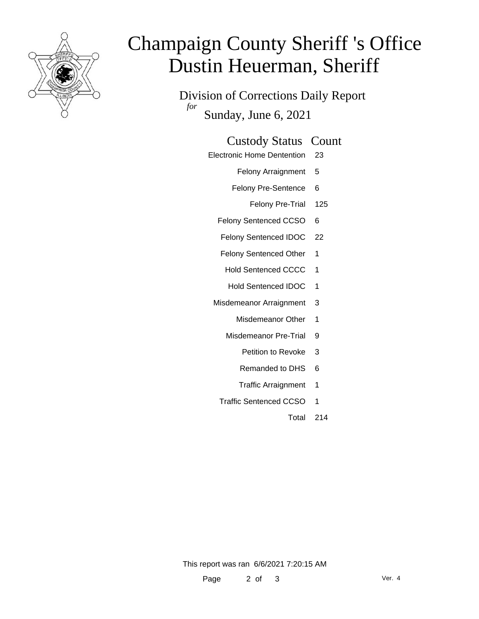

# Champaign County Sheriff 's Office Dustin Heuerman, Sheriff

Division of Corrections Daily Report *for* Sunday, June 6, 2021

| <b>Custody Status Count</b> |  |
|-----------------------------|--|
|-----------------------------|--|

Electronic Home Dentention 23

Felony Arraignment 5

Felony Pre-Sentence 6

Felony Pre-Trial 125

Felony Sentenced CCSO 6

Felony Sentenced IDOC 22

Felony Sentenced Other 1

Hold Sentenced CCCC 1

Hold Sentenced IDOC 1

Misdemeanor Arraignment 3

Misdemeanor Other 1

Misdemeanor Pre-Trial 9

Petition to Revoke 3

- Remanded to DHS 6
- Traffic Arraignment 1
- Traffic Sentenced CCSO 1
	- Total 214

This report was ran 6/6/2021 7:20:15 AM